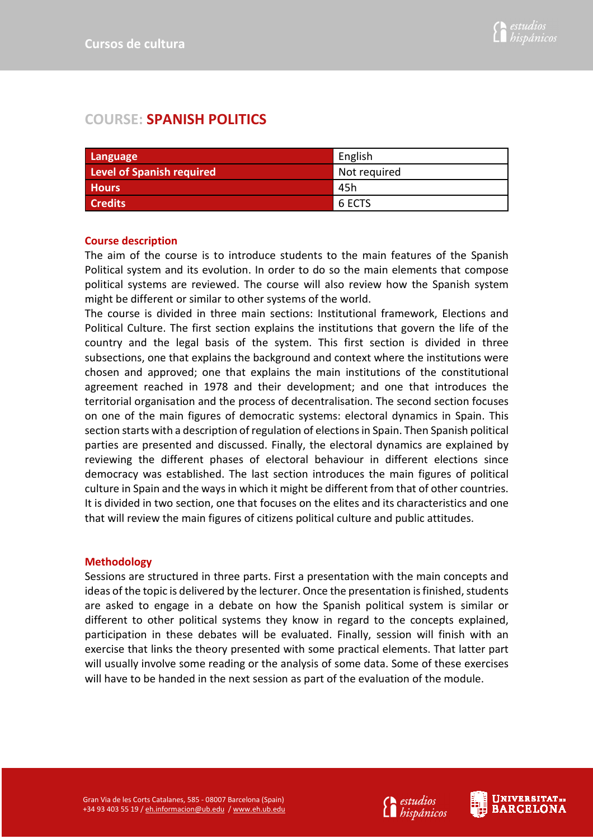# **COURSE: SPANISH POLITICS**

| Language                         | English      |
|----------------------------------|--------------|
| <b>Level of Spanish required</b> | Not required |
| <b>Hours</b>                     | 45h          |
| <b>Credits</b>                   | 6 ECTS       |

## **Course description**

The aim of the course is to introduce students to the main features of the Spanish Political system and its evolution. In order to do so the main elements that compose political systems are reviewed. The course will also review how the Spanish system might be different or similar to other systems of the world.

The course is divided in three main sections: Institutional framework, Elections and Political Culture. The first section explains the institutions that govern the life of the country and the legal basis of the system. This first section is divided in three subsections, one that explains the background and context where the institutions were chosen and approved; one that explains the main institutions of the constitutional agreement reached in 1978 and their development; and one that introduces the territorial organisation and the process of decentralisation. The second section focuses on one of the main figures of democratic systems: electoral dynamics in Spain. This section starts with a description of regulation of elections in Spain. Then Spanish political parties are presented and discussed. Finally, the electoral dynamics are explained by reviewing the different phases of electoral behaviour in different elections since democracy was established. The last section introduces the main figures of political culture in Spain and the ways in which it might be different from that of other countries. It is divided in two section, one that focuses on the elites and its characteristics and one that will review the main figures of citizens political culture and public attitudes.

## **Methodology**

Sessions are structured in three parts. First a presentation with the main concepts and ideas of the topic is delivered by the lecturer. Once the presentation is finished, students are asked to engage in a debate on how the Spanish political system is similar or different to other political systems they know in regard to the concepts explained, participation in these debates will be evaluated. Finally, session will finish with an exercise that links the theory presented with some practical elements. That latter part will usually involve some reading or the analysis of some data. Some of these exercises will have to be handed in the next session as part of the evaluation of the module.



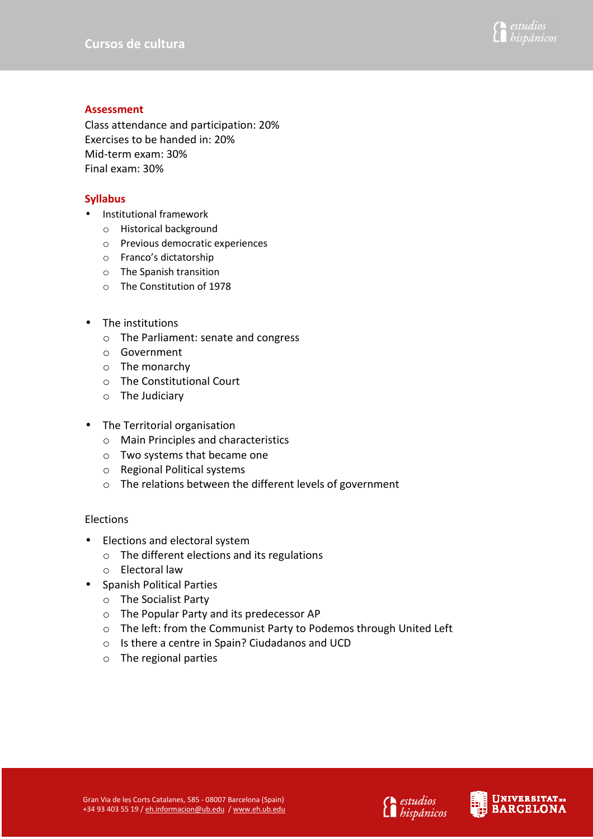

#### **Assessment**

Class attendance and participation: 20% Exercises to be handed in: 20% Mid-term exam: 30% Final exam: 30%

## **Syllabus**

- Institutional framework
	- o Historical background
	- o Previous democratic experiences
	- o Franco's dictatorship
	- o The Spanish transition
	- o The Constitution of 1978
- The institutions
	- o The Parliament: senate and congress
	- o Government
	- o The monarchy
	- o The Constitutional Court
	- o The Judiciary
- The Territorial organisation
	- o Main Principles and characteristics
	- o Two systems that became one
	- o Regional Political systems
	- o The relations between the different levels of government

## Elections

- Elections and electoral system
	- o The different elections and its regulations
	- o Electoral law
- Spanish Political Parties
	- o The Socialist Party
	- o The Popular Party and its predecessor AP
	- o The left: from the Communist Party to Podemos through United Left
	- o Is there a centre in Spain? Ciudadanos and UCD
	- o The regional parties